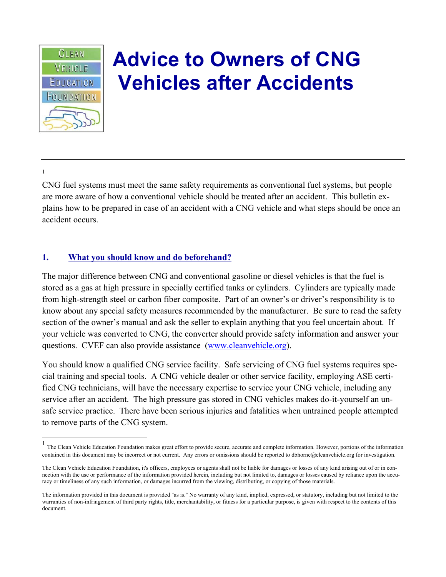

## **Advice to Owners of CNG Vehicles after Accidents**

1

CNG fuel systems must meet the same safety requirements as conventional fuel systems, but people are more aware of how a conventional vehicle should be treated after an accident. This bulletin explains how to be prepared in case of an accident with a CNG vehicle and what steps should be once an accident occurs.

## **1. What you should know and do beforehand?**

The major difference between CNG and conventional gasoline or diesel vehicles is that the fuel is stored as a gas at high pressure in specially certified tanks or cylinders. Cylinders are typically made from high-strength steel or carbon fiber composite. Part of an owner's or driver's responsibility is to know about any special safety measures recommended by the manufacturer. Be sure to read the safety section of the owner's manual and ask the seller to explain anything that you feel uncertain about. If your vehicle was converted to CNG, the converter should provide safety information and answer your questions. CVEF can also provide assistance (www.cleanvehicle.org).

You should know a qualified CNG service facility. Safe servicing of CNG fuel systems requires special training and special tools. A CNG vehicle dealer or other service facility, employing ASE certified CNG technicians, will have the necessary expertise to service your CNG vehicle, including any service after an accident. The high pressure gas stored in CNG vehicles makes do-it-yourself an unsafe service practice. There have been serious injuries and fatalities when untrained people attempted to remove parts of the CNG system.

<sup>&</sup>lt;sup>1</sup> The Clean Vehicle Education Foundation makes great effort to provide secure, accurate and complete information. However, portions of the information <sup>1</sup> contained in this document may be incorrect or not current. Any errors or omissions should be reported to dbhorne@cleanvehicle.org for investigation.

The Clean Vehicle Education Foundation, it's officers, employees or agents shall not be liable for damages or losses of any kind arising out of or in connection with the use or performance of the information provided herein, including but not limited to, damages or losses caused by reliance upon the accuracy or timeliness of any such information, or damages incurred from the viewing, distributing, or copying of those materials.

The information provided in this document is provided "as is." No warranty of any kind, implied, expressed, or statutory, including but not limited to the warranties of non-infringement of third party rights, title, merchantability, or fitness for a particular purpose, is given with respect to the contents of this document.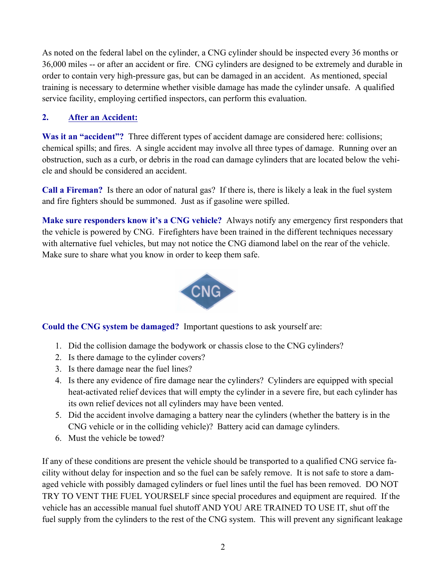As noted on the federal label on the cylinder, a CNG cylinder should be inspected every 36 months or 36,000 miles -- or after an accident or fire. CNG cylinders are designed to be extremely and durable in order to contain very high-pressure gas, but can be damaged in an accident. As mentioned, special training is necessary to determine whether visible damage has made the cylinder unsafe. A qualified service facility, employing certified inspectors, can perform this evaluation.

## **2. After an Accident:**

**Was it an "accident"?** Three different types of accident damage are considered here: collisions; chemical spills; and fires. A single accident may involve all three types of damage. Running over an obstruction, such as a curb, or debris in the road can damage cylinders that are located below the vehicle and should be considered an accident.

**Call a Fireman?** Is there an odor of natural gas? If there is, there is likely a leak in the fuel system and fire fighters should be summoned. Just as if gasoline were spilled.

**Make sure responders know it's a CNG vehicle?** Always notify any emergency first responders that the vehicle is powered by CNG. Firefighters have been trained in the different techniques necessary with alternative fuel vehicles, but may not notice the CNG diamond label on the rear of the vehicle. Make sure to share what you know in order to keep them safe.



**Could the CNG system be damaged?** Important questions to ask yourself are:

- 1. Did the collision damage the bodywork or chassis close to the CNG cylinders?
- 2. Is there damage to the cylinder covers?
- 3. Is there damage near the fuel lines?
- 4. Is there any evidence of fire damage near the cylinders? Cylinders are equipped with special heat-activated relief devices that will empty the cylinder in a severe fire, but each cylinder has its own relief devices not all cylinders may have been vented.
- 5. Did the accident involve damaging a battery near the cylinders (whether the battery is in the CNG vehicle or in the colliding vehicle)? Battery acid can damage cylinders.
- 6. Must the vehicle be towed?

If any of these conditions are present the vehicle should be transported to a qualified CNG service facility without delay for inspection and so the fuel can be safely remove. It is not safe to store a damaged vehicle with possibly damaged cylinders or fuel lines until the fuel has been removed. DO NOT TRY TO VENT THE FUEL YOURSELF since special procedures and equipment are required. If the vehicle has an accessible manual fuel shutoff AND YOU ARE TRAINED TO USE IT, shut off the fuel supply from the cylinders to the rest of the CNG system. This will prevent any significant leakage